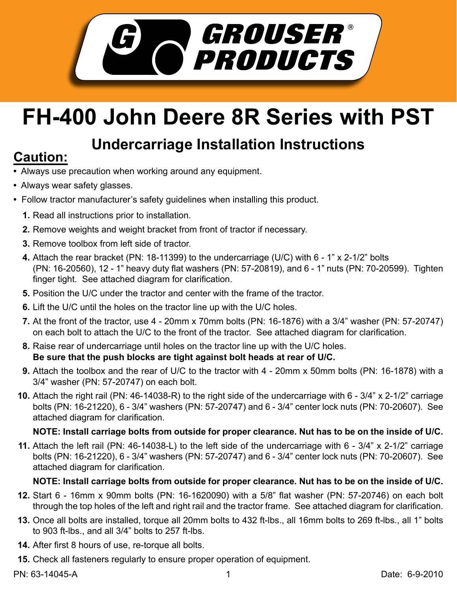

# **FH-400 John Deere 8R Series with PST**

# **Undercarriage Installation Instructions Caution:**

- Always use precaution when working around any equipment.
- Always wear safety glasses.
- Follow tractor manufacturer's safety guidelines when installing this product.
	- **1.** Read all instructions prior to installation.
	- 2. Remove weights and weight bracket from front of tractor if necessary.
	- **3.** Remove toolbox from left side of tractor.
	- Attach the rear bracket (PN: 18-11399) to the undercarriage (U/C) with 6 1" x 2-1/2" bolts **4.** (PN: 16-20560), 12 - 1" heavy duty flat washers (PN: 57-20819), and 6 - 1" nuts (PN: 70-20599). Tighten finger tight. See attached diagram for clarification.
	- **5.** Position the U/C under the tractor and center with the frame of the tractor.
	- **6.** Lift the U/C until the holes on the tractor line up with the U/C holes.
	- At the front of the tractor, use 4 20mm x 70mm bolts (PN: 16-1876) with a 3/4" washer (PN: 57-20747) **7.** on each bolt to attach the U/C to the front of the tractor. See attached diagram for clarification.
	- Raise rear of undercarriage until holes on the tractor line up with the U/C holes. **8. Be sure that the push blocks are tight against bolt heads at rear of U/C.**
	- Attach the toolbox and the rear of U/C to the tractor with 4 20mm x 50mm bolts (PN: 16-1878) with a **9.** 3/4" washer (PN: 57-20747) on each bolt.
	- Attach the right rail (PN: 46-14038-R) to the right side of the undercarriage with 6 3/4" x 2-1/2" carriage **10.** bolts (PN: 16-21220), 6 - 3/4" washers (PN: 57-20747) and 6 - 3/4" center lock nuts (PN: 70-20607). See attached diagram for clarification.

## **NOTE: Install carriage bolts from outside for proper clearance. Nut has to be on the inside of U/C.**

Attach the left rail (PN: 46-14038-L) to the left side of the undercarriage with 6 - 3/4" x 2-1/2" carriage **11.** bolts (PN: 16-21220), 6 - 3/4" washers (PN: 57-20747) and 6 - 3/4" center lock nuts (PN: 70-20607). See attached diagram for clarification.

## **NOTE: Install carriage bolts from outside for proper clearance. Nut has to be on the inside of U/C.**

- **12.** Start 6 16mm x 90mm bolts (PN: 16-1620090) with a 5/8" flat washer (PN: 57-20746) on each bolt through the top holes of the left and right rail and the tractor frame. See attached diagram for clarification.
- **13.** Once all bolts are installed, torque all 20mm bolts to 432 ft-lbs., all 16mm bolts to 269 ft-lbs., all 1" bolts to 903 ft-lbs., and all 3/4" bolts to 257 ft-lbs.
- After first 8 hours of use, re-torque all bolts. **14.**
- **15.** Check all fasteners regularly to ensure proper operation of equipment.